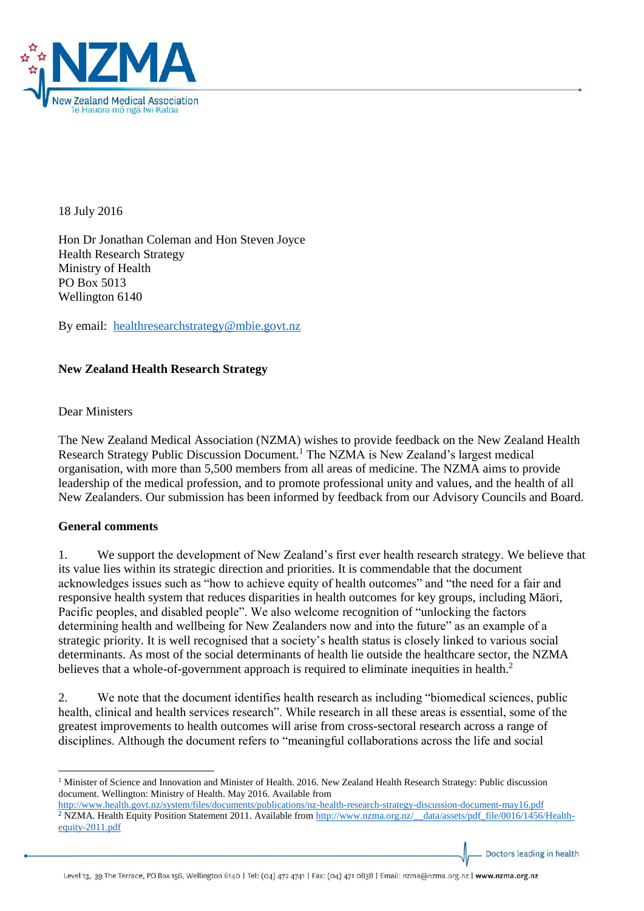

18 July 2016

Hon Dr Jonathan Coleman and Hon Steven Joyce Health Research Strategy Ministry of Health PO Box 5013 Wellington 6140

By email: [healthresearchstrategy@mbie.govt.nz](mailto:healthresearchstrategy@mbie.govt.nz)

# **New Zealand Health Research Strategy**

Dear Ministers

The New Zealand Medical Association (NZMA) wishes to provide feedback on the New Zealand Health Research Strategy Public Discussion Document.<sup>1</sup> The NZMA is New Zealand's largest medical organisation, with more than 5,500 members from all areas of medicine. The NZMA aims to provide leadership of the medical profession, and to promote professional unity and values, and the health of all New Zealanders. Our submission has been informed by feedback from our Advisory Councils and Board.

# **General comments**

 $\overline{\phantom{a}}$ 

1. We support the development of New Zealand's first ever health research strategy. We believe that its value lies within its strategic direction and priorities. It is commendable that the document acknowledges issues such as "how to achieve equity of health outcomes" and "the need for a fair and responsive health system that reduces disparities in health outcomes for key groups, including Māori, Pacific peoples, and disabled people". We also welcome recognition of "unlocking the factors determining health and wellbeing for New Zealanders now and into the future" as an example of a strategic priority. It is well recognised that a society's health status is closely linked to various social determinants. As most of the social determinants of health lie outside the healthcare sector, the NZMA believes that a whole-of-government approach is required to eliminate inequities in health.<sup>2</sup>

2. We note that the document identifies health research as including "biomedical sciences, public health, clinical and health services research". While research in all these areas is essential, some of the greatest improvements to health outcomes will arise from cross-sectoral research across a range of disciplines. Although the document refers to "meaningful collaborations across the life and social

Doctors leading in health

<sup>&</sup>lt;sup>1</sup> Minister of Science and Innovation and Minister of Health. 2016. New Zealand Health Research Strategy: Public discussion document. Wellington: Ministry of Health. May 2016. Available from

<http://www.health.govt.nz/system/files/documents/publications/nz-health-research-strategy-discussion-document-may16.pdf> <sup>2</sup> NZMA. Health Equity Position Statement 2011. Available from [http://www.nzma.org.nz/\\_\\_data/assets/pdf\\_file/0016/1456/Health](http://www.nzma.org.nz/__data/assets/pdf_file/0016/1456/Health-equity-2011.pdf)[equity-2011.pdf](http://www.nzma.org.nz/__data/assets/pdf_file/0016/1456/Health-equity-2011.pdf)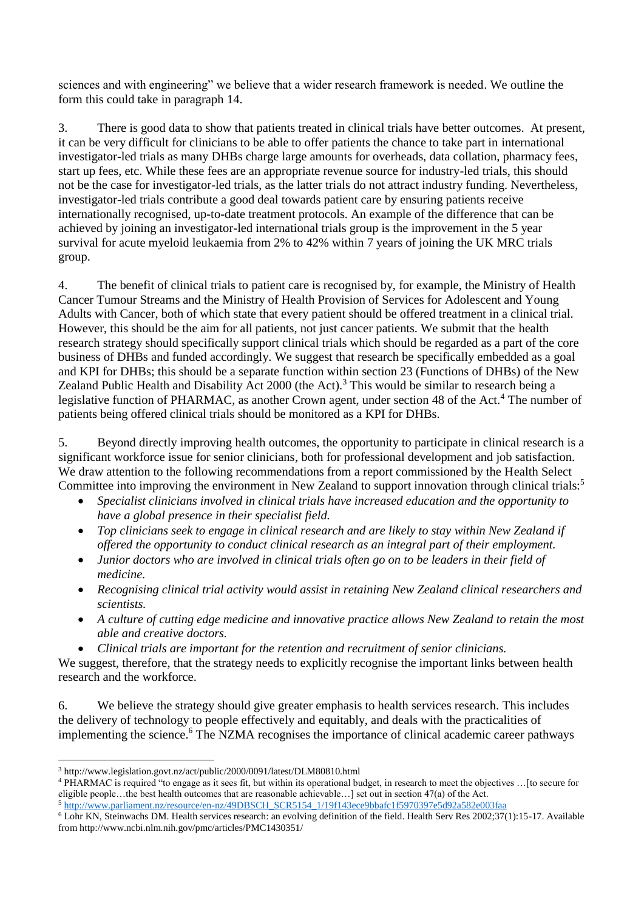sciences and with engineering" we believe that a wider research framework is needed. We outline the form this could take in paragraph 14.

3. There is good data to show that patients treated in clinical trials have better outcomes. At present, it can be very difficult for clinicians to be able to offer patients the chance to take part in international investigator-led trials as many DHBs charge large amounts for overheads, data collation, pharmacy fees, start up fees, etc. While these fees are an appropriate revenue source for industry-led trials, this should not be the case for investigator-led trials, as the latter trials do not attract industry funding. Nevertheless, investigator-led trials contribute a good deal towards patient care by ensuring patients receive internationally recognised, up-to-date treatment protocols. An example of the difference that can be achieved by joining an investigator-led international trials group is the improvement in the 5 year survival for acute myeloid leukaemia from 2% to 42% within 7 years of joining the UK MRC trials group.

4. The benefit of clinical trials to patient care is recognised by, for example, the Ministry of Health Cancer Tumour Streams and the Ministry of Health Provision of Services for Adolescent and Young Adults with Cancer, both of which state that every patient should be offered treatment in a clinical trial. However, this should be the aim for all patients, not just cancer patients. We submit that the health research strategy should specifically support clinical trials which should be regarded as a part of the core business of DHBs and funded accordingly. We suggest that research be specifically embedded as a goal and KPI for DHBs; this should be a separate function within section 23 (Functions of DHBs) of the New Zealand Public Health and Disability  $\text{\AA ct}$  2000 (the Act).<sup>3</sup> This would be similar to research being a legislative function of PHARMAC, as another Crown agent, under section 48 of the Act.<sup>4</sup> The number of patients being offered clinical trials should be monitored as a KPI for DHBs.

5. Beyond directly improving health outcomes, the opportunity to participate in clinical research is a significant workforce issue for senior clinicians, both for professional development and job satisfaction. We draw attention to the following recommendations from a report commissioned by the Health Select Committee into improving the environment in New Zealand to support innovation through clinical trials:<sup>5</sup>

- *Specialist clinicians involved in clinical trials have increased education and the opportunity to have a global presence in their specialist field.*
- *Top clinicians seek to engage in clinical research and are likely to stay within New Zealand if offered the opportunity to conduct clinical research as an integral part of their employment.*
- *Junior doctors who are involved in clinical trials often go on to be leaders in their field of medicine.*
- *Recognising clinical trial activity would assist in retaining New Zealand clinical researchers and scientists.*
- *A culture of cutting edge medicine and innovative practice allows New Zealand to retain the most able and creative doctors.*
- *Clinical trials are important for the retention and recruitment of senior clinicians.*

We suggest, therefore, that the strategy needs to explicitly recognise the important links between health research and the workforce.

6. We believe the strategy should give greater emphasis to health services research. This includes the delivery of technology to people effectively and equitably, and deals with the practicalities of implementing the science.<sup>6</sup> The NZMA recognises the importance of clinical academic career pathways

 $\overline{\phantom{a}}$ <sup>3</sup> http://www.legislation.govt.nz/act/public/2000/0091/latest/DLM80810.html

<sup>4</sup> PHARMAC is required "to engage as it sees fit, but within its operational budget, in research to meet the objectives …[to secure for eligible people…the best health outcomes that are reasonable achievable…] set out in section 47(a) of the Act.

<sup>5</sup> [http://www.parliament.nz/resource/en-nz/49DBSCH\\_SCR5154\\_1/19f143ece9bbafc1f5970397e5d92a582e003faa](http://www.parliament.nz/resource/en-nz/49DBSCH_SCR5154_1/19f143ece9bbafc1f5970397e5d92a582e003faa)

 $6$  Lohr KN, Steinwachs DM. Health services research: an evolving definition of the field. Health Serv Res 2002;37(1):15-17. Available from http://www.ncbi.nlm.nih.gov/pmc/articles/PMC1430351/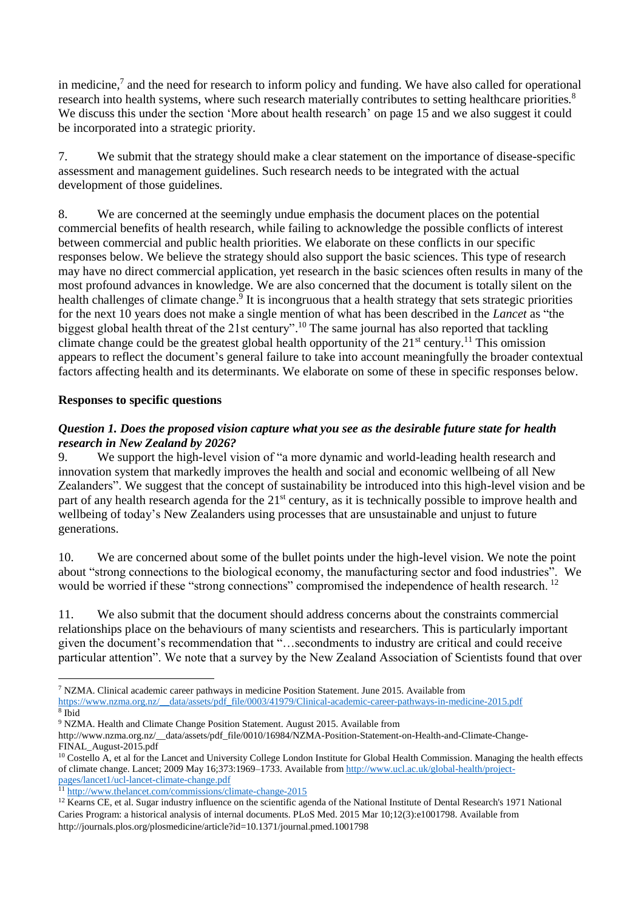in medicine, $<sup>7</sup>$  and the need for research to inform policy and funding. We have also called for operational</sup> research into health systems, where such research materially contributes to setting healthcare priorities.<sup>8</sup> We discuss this under the section 'More about health research' on page 15 and we also suggest it could be incorporated into a strategic priority.

7. We submit that the strategy should make a clear statement on the importance of disease-specific assessment and management guidelines. Such research needs to be integrated with the actual development of those guidelines.

8. We are concerned at the seemingly undue emphasis the document places on the potential commercial benefits of health research, while failing to acknowledge the possible conflicts of interest between commercial and public health priorities. We elaborate on these conflicts in our specific responses below. We believe the strategy should also support the basic sciences. This type of research may have no direct commercial application, yet research in the basic sciences often results in many of the most profound advances in knowledge. We are also concerned that the document is totally silent on the health challenges of climate change.<sup>9</sup> It is incongruous that a health strategy that sets strategic priorities for the next 10 years does not make a single mention of what has been described in the *Lancet* as "the biggest global health threat of the 21st century".<sup>10</sup> The same journal has also reported that tackling climate change could be the greatest global health opportunity of the  $21<sup>st</sup>$  century.<sup>11</sup> This omission appears to reflect the document's general failure to take into account meaningfully the broader contextual factors affecting health and its determinants. We elaborate on some of these in specific responses below.

# **Responses to specific questions**

### *Question 1. Does the proposed vision capture what you see as the desirable future state for health research in New Zealand by 2026?*

9. We support the high-level vision of "a more dynamic and world-leading health research and innovation system that markedly improves the health and social and economic wellbeing of all New Zealanders". We suggest that the concept of sustainability be introduced into this high-level vision and be part of any health research agenda for the 21<sup>st</sup> century, as it is technically possible to improve health and wellbeing of today's New Zealanders using processes that are unsustainable and unjust to future generations.

10. We are concerned about some of the bullet points under the high-level vision. We note the point about "strong connections to the biological economy, the manufacturing sector and food industries". We would be worried if these "strong connections" compromised the independence of health research. <sup>12</sup>

11. We also submit that the document should address concerns about the constraints commercial relationships place on the behaviours of many scientists and researchers. This is particularly important given the document's recommendation that "…secondments to industry are critical and could receive particular attention". We note that a survey by the New Zealand Association of Scientists found that over

**.** 

<sup>11</sup> <http://www.thelancet.com/commissions/climate-change-2015>

<sup>7</sup> NZMA. Clinical academic career pathways in medicine Position Statement. June 2015. Available from [https://www.nzma.org.nz/\\_\\_data/assets/pdf\\_file/0003/41979/Clinical-academic-career-pathways-in-medicine-2015.pdf](https://www.nzma.org.nz/__data/assets/pdf_file/0003/41979/Clinical-academic-career-pathways-in-medicine-2015.pdf)

<sup>8</sup> Ibid

<sup>9</sup> NZMA. Health and Climate Change Position Statement. August 2015. Available from

http://www.nzma.org.nz/\_\_data/assets/pdf\_file/0010/16984/NZMA-Position-Statement-on-Health-and-Climate-Change-FINAL\_August-2015.pdf

<sup>&</sup>lt;sup>10</sup> Costello A, et al for the Lancet and University College London Institute for Global Health Commission. Managing the health effects of climate change. Lancet; 2009 May 16;373:1969–1733. Available fro[m http://www.ucl.ac.uk/global-health/project](http://www.ucl.ac.uk/global-health/project-pages/lancet1/ucl-lancet-climate-change.pdf)[pages/lancet1/ucl-lancet-climate-change.pdf](http://www.ucl.ac.uk/global-health/project-pages/lancet1/ucl-lancet-climate-change.pdf)

<sup>&</sup>lt;sup>12</sup> Kearns CE, et al. Sugar industry influence on the scientific agenda of the National Institute of Dental Research's 1971 National Caries Program: a historical analysis of internal documents. PLoS Med. 2015 Mar 10;12(3):e1001798. Available from http://journals.plos.org/plosmedicine/article?id=10.1371/journal.pmed.1001798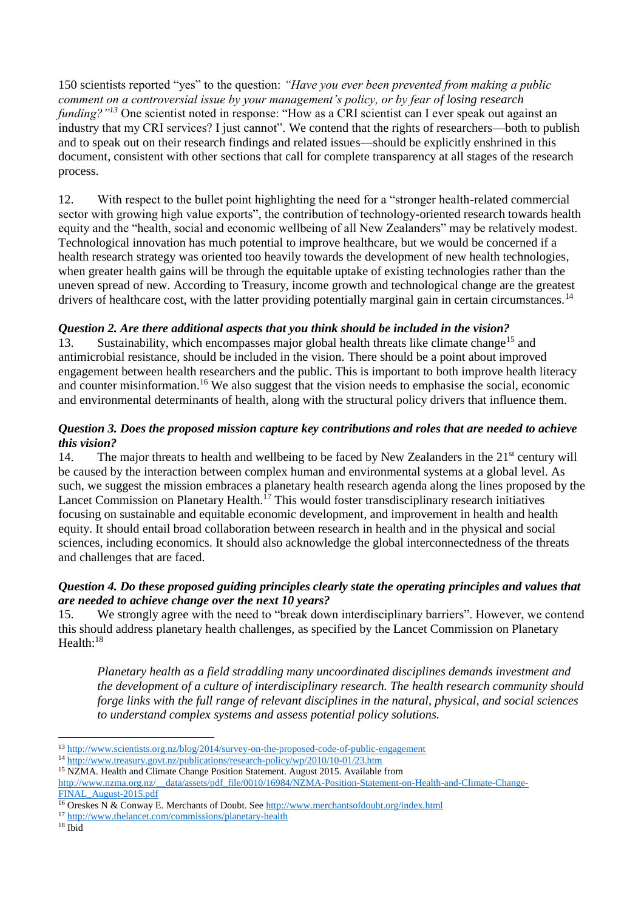150 scientists reported "yes" to the question: *"Have you ever been prevented from making a public comment on a controversial issue by your management's policy, or by fear of losing research funding?"<sup>13</sup>* One scientist noted in response: "How as a CRI scientist can I ever speak out against an industry that my CRI services? I just cannot". We contend that the rights of researchers—both to publish and to speak out on their research findings and related issues—should be explicitly enshrined in this document, consistent with other sections that call for complete transparency at all stages of the research process.

12. With respect to the bullet point highlighting the need for a "stronger health-related commercial sector with growing high value exports", the contribution of technology-oriented research towards health equity and the "health, social and economic wellbeing of all New Zealanders" may be relatively modest. Technological innovation has much potential to improve healthcare, but we would be concerned if a health research strategy was oriented too heavily towards the development of new health technologies, when greater health gains will be through the equitable uptake of existing technologies rather than the uneven spread of new. According to Treasury, income growth and technological change are the greatest drivers of healthcare cost, with the latter providing potentially marginal gain in certain circumstances.<sup>14</sup>

# *Question 2. Are there additional aspects that you think should be included in the vision?*

13. Sustainability, which encompasses major global health threats like climate change<sup>15</sup> and antimicrobial resistance, should be included in the vision. There should be a point about improved engagement between health researchers and the public. This is important to both improve health literacy and counter misinformation. <sup>16</sup> We also suggest that the vision needs to emphasise the social, economic and environmental determinants of health, along with the structural policy drivers that influence them.

### *Question 3. Does the proposed mission capture key contributions and roles that are needed to achieve this vision?*

14. The major threats to health and wellbeing to be faced by New Zealanders in the  $21<sup>st</sup>$  century will be caused by the interaction between complex human and environmental systems at a global level. As such, we suggest the mission embraces a planetary health research agenda along the lines proposed by the Lancet Commission on Planetary Health.<sup>17</sup> This would foster transdisciplinary research initiatives focusing on sustainable and equitable economic development, and improvement in health and health equity. It should entail broad collaboration between research in health and in the physical and social sciences, including economics. It should also acknowledge the global interconnectedness of the threats and challenges that are faced.

#### *Question 4. Do these proposed guiding principles clearly state the operating principles and values that are needed to achieve change over the next 10 years?*

15. We strongly agree with the need to "break down interdisciplinary barriers". However, we contend this should address planetary health challenges, as specified by the Lancet Commission on Planetary Health:<sup>18</sup>

*Planetary health as a field straddling many uncoordinated disciplines demands investment and the development of a culture of interdisciplinary research. The health research community should forge links with the full range of relevant disciplines in the natural, physical, and social sciences to understand complex systems and assess potential policy solutions.* 

 $\overline{\phantom{a}}$ 

<sup>13</sup> <http://www.scientists.org.nz/blog/2014/survey-on-the-proposed-code-of-public-engagement>

<sup>14</sup> <http://www.treasury.govt.nz/publications/research-policy/wp/2010/10-01/23.htm>

<sup>15</sup> NZMA. Health and Climate Change Position Statement. August 2015. Available from

[http://www.nzma.org.nz/\\_\\_data/assets/pdf\\_file/0010/16984/NZMA-Position-Statement-on-Health-and-Climate-Change-](http://www.nzma.org.nz/__data/assets/pdf_file/0010/16984/NZMA-Position-Statement-on-Health-and-Climate-Change-FINAL_August-2015.pdf)[FINAL\\_August-2015.pdf](http://www.nzma.org.nz/__data/assets/pdf_file/0010/16984/NZMA-Position-Statement-on-Health-and-Climate-Change-FINAL_August-2015.pdf)

<sup>16</sup> Oreskes N & Conway E. Merchants of Doubt. See<http://www.merchantsofdoubt.org/index.html>

<sup>17</sup> <http://www.thelancet.com/commissions/planetary-health>

 $18$  Ibid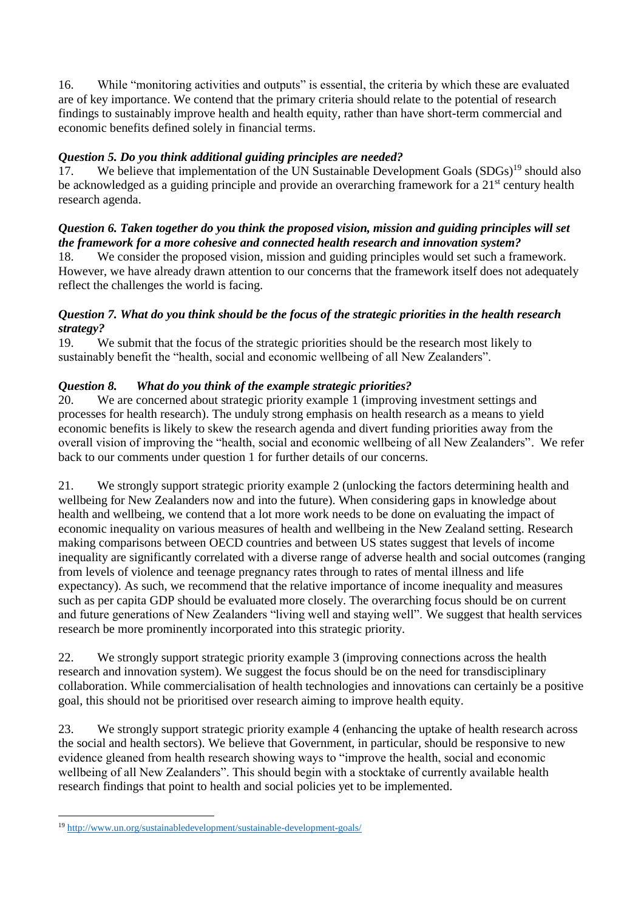16. While "monitoring activities and outputs" is essential, the criteria by which these are evaluated are of key importance. We contend that the primary criteria should relate to the potential of research findings to sustainably improve health and health equity, rather than have short-term commercial and economic benefits defined solely in financial terms.

# *Question 5. Do you think additional guiding principles are needed?*

17. We believe that implementation of the UN Sustainable Development Goals (SDGs)<sup>19</sup> should also be acknowledged as a guiding principle and provide an overarching framework for a 21<sup>st</sup> century health research agenda.

# *Question 6. Taken together do you think the proposed vision, mission and guiding principles will set the framework for a more cohesive and connected health research and innovation system?*

18. We consider the proposed vision, mission and guiding principles would set such a framework. However, we have already drawn attention to our concerns that the framework itself does not adequately reflect the challenges the world is facing.

# *Question 7. What do you think should be the focus of the strategic priorities in the health research strategy?*

19. We submit that the focus of the strategic priorities should be the research most likely to sustainably benefit the "health, social and economic wellbeing of all New Zealanders".

# *Question 8. What do you think of the example strategic priorities?*

20. We are concerned about strategic priority example 1 (improving investment settings and processes for health research). The unduly strong emphasis on health research as a means to yield economic benefits is likely to skew the research agenda and divert funding priorities away from the overall vision of improving the "health, social and economic wellbeing of all New Zealanders". We refer back to our comments under question 1 for further details of our concerns.

21. We strongly support strategic priority example 2 (unlocking the factors determining health and wellbeing for New Zealanders now and into the future). When considering gaps in knowledge about health and wellbeing, we contend that a lot more work needs to be done on evaluating the impact of economic inequality on various measures of health and wellbeing in the New Zealand setting. Research making comparisons between OECD countries and between US states suggest that levels of income inequality are significantly correlated with a diverse range of adverse health and social outcomes (ranging from levels of violence and teenage pregnancy rates through to rates of mental illness and life expectancy). As such, we recommend that the relative importance of income inequality and measures such as per capita GDP should be evaluated more closely. The overarching focus should be on current and future generations of New Zealanders "living well and staying well". We suggest that health services research be more prominently incorporated into this strategic priority.

22. We strongly support strategic priority example 3 (improving connections across the health research and innovation system). We suggest the focus should be on the need for transdisciplinary collaboration. While commercialisation of health technologies and innovations can certainly be a positive goal, this should not be prioritised over research aiming to improve health equity.

23. We strongly support strategic priority example 4 (enhancing the uptake of health research across the social and health sectors). We believe that Government, in particular, should be responsive to new evidence gleaned from health research showing ways to "improve the health, social and economic wellbeing of all New Zealanders". This should begin with a stocktake of currently available health research findings that point to health and social policies yet to be implemented.

**.** 

<sup>19</sup> <http://www.un.org/sustainabledevelopment/sustainable-development-goals/>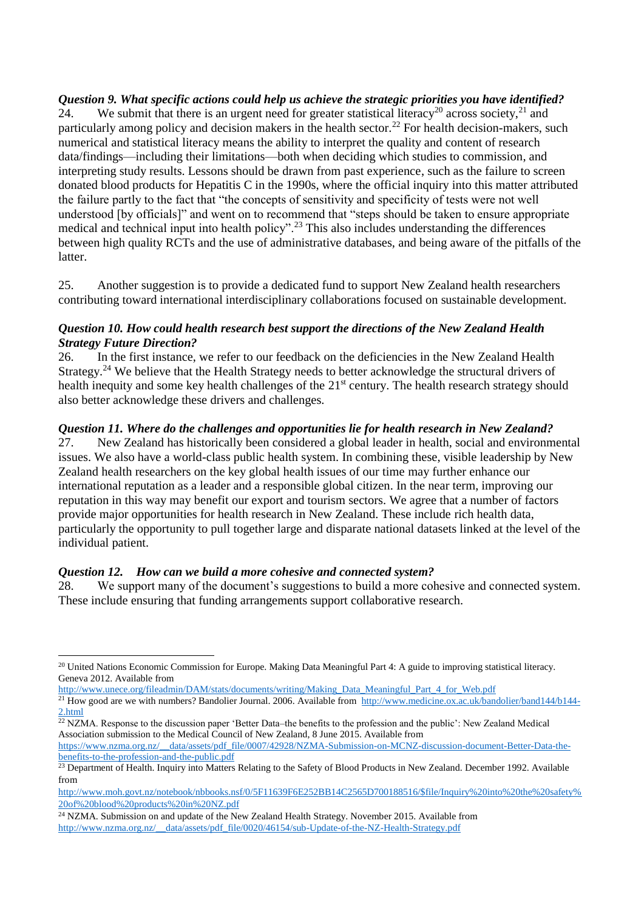*Question 9. What specific actions could help us achieve the strategic priorities you have identified?*  $\tilde{24}$ . We submit that there is an urgent need for greater statistical literacy<sup>20</sup> across society,<sup>21</sup> and particularly among policy and decision makers in the health sector.<sup>22</sup> For health decision-makers, such numerical and statistical literacy means the ability to interpret the quality and content of research data/findings—including their limitations—both when deciding which studies to commission, and interpreting study results. Lessons should be drawn from past experience, such as the failure to screen donated blood products for Hepatitis C in the 1990s, where the official inquiry into this matter attributed the failure partly to the fact that "the concepts of sensitivity and specificity of tests were not well understood [by officials]" and went on to recommend that "steps should be taken to ensure appropriate medical and technical input into health policy".<sup>23</sup> This also includes understanding the differences between high quality RCTs and the use of administrative databases, and being aware of the pitfalls of the latter.

25. Another suggestion is to provide a dedicated fund to support New Zealand health researchers contributing toward international interdisciplinary collaborations focused on sustainable development.

# *Question 10. How could health research best support the directions of the New Zealand Health Strategy Future Direction?*

26. In the first instance, we refer to our feedback on the deficiencies in the New Zealand Health Strategy.<sup>24</sup> We believe that the Health Strategy needs to better acknowledge the structural drivers of health inequity and some key health challenges of the 21<sup>st</sup> century. The health research strategy should also better acknowledge these drivers and challenges.

# *Question 11. Where do the challenges and opportunities lie for health research in New Zealand?*

27. New Zealand has historically been considered a global leader in health, social and environmental issues. We also have a world-class public health system. In combining these, visible leadership by New Zealand health researchers on the key global health issues of our time may further enhance our international reputation as a leader and a responsible global citizen. In the near term, improving our reputation in this way may benefit our export and tourism sectors. We agree that a number of factors provide major opportunities for health research in New Zealand. These include rich health data, particularly the opportunity to pull together large and disparate national datasets linked at the level of the individual patient.

#### *Question 12. How can we build a more cohesive and connected system?*

1

28. We support many of the document's suggestions to build a more cohesive and connected system. These include ensuring that funding arrangements support collaborative research.

 $^{22}$  NZMA. Response to the discussion paper 'Better Data–the benefits to the profession and the public': New Zealand Medical Association submission to the Medical Council of New Zealand, 8 June 2015. Available from [https://www.nzma.org.nz/\\_\\_data/assets/pdf\\_file/0007/42928/NZMA-Submission-on-MCNZ-discussion-document-Better-Data-the-](https://www.nzma.org.nz/__data/assets/pdf_file/0007/42928/NZMA-Submission-on-MCNZ-discussion-document-Better-Data-the-benefits-to-the-profession-and-the-public.pdf)

[benefits-to-the-profession-and-the-public.pdf](https://www.nzma.org.nz/__data/assets/pdf_file/0007/42928/NZMA-Submission-on-MCNZ-discussion-document-Better-Data-the-benefits-to-the-profession-and-the-public.pdf)

<sup>&</sup>lt;sup>20</sup> United Nations Economic Commission for Europe. Making Data Meaningful Part 4: A guide to improving statistical literacy. Geneva 2012. Available from

[http://www.unece.org/fileadmin/DAM/stats/documents/writing/Making\\_Data\\_Meaningful\\_Part\\_4\\_for\\_Web.pdf](http://www.unece.org/fileadmin/DAM/stats/documents/writing/Making_Data_Meaningful_Part_4_for_Web.pdf)

<sup>&</sup>lt;sup>21</sup> How good are we with numbers? Bandolier Journal. 2006. Available from  $http://www.medicine.ox.ac.uk/bandolier/band144/b144-$ [2.html](http://www.medicine.ox.ac.uk/bandolier/band144/b144-2.html)

 $\frac{23}{23}$  Department of Health. Inquiry into Matters Relating to the Safety of Blood Products in New Zealand. December 1992. Available from

[http://www.moh.govt.nz/notebook/nbbooks.nsf/0/5F11639F6E252BB14C2565D700188516/\\$file/Inquiry%20into%20the%20safety%](http://www.moh.govt.nz/notebook/nbbooks.nsf/0/5F11639F6E252BB14C2565D700188516/$file/Inquiry%20into%20the%20safety%20of%20blood%20products%20in%20NZ.pdf) [20of%20blood%20products%20in%20NZ.pdf](http://www.moh.govt.nz/notebook/nbbooks.nsf/0/5F11639F6E252BB14C2565D700188516/$file/Inquiry%20into%20the%20safety%20of%20blood%20products%20in%20NZ.pdf)

<sup>&</sup>lt;sup>24</sup> NZMA. Submission on and update of the New Zealand Health Strategy. November 2015. Available from [http://www.nzma.org.nz/\\_\\_data/assets/pdf\\_file/0020/46154/sub-Update-of-the-NZ-Health-Strategy.pdf](http://www.nzma.org.nz/__data/assets/pdf_file/0020/46154/sub-Update-of-the-NZ-Health-Strategy.pdf)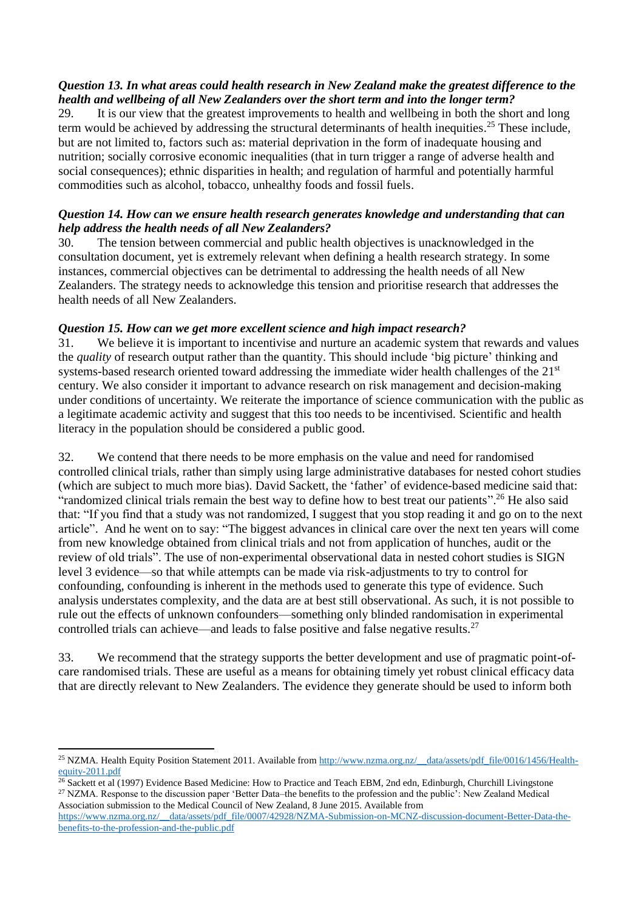# *Question 13. In what areas could health research in New Zealand make the greatest difference to the health and wellbeing of all New Zealanders over the short term and into the longer term?*

29. It is our view that the greatest improvements to health and wellbeing in both the short and long term would be achieved by addressing the structural determinants of health inequities.<sup>25</sup> These include, but are not limited to, factors such as: material deprivation in the form of inadequate housing and nutrition; socially corrosive economic inequalities (that in turn trigger a range of adverse health and social consequences); ethnic disparities in health; and regulation of harmful and potentially harmful commodities such as alcohol, tobacco, unhealthy foods and fossil fuels.

# *Question 14. How can we ensure health research generates knowledge and understanding that can help address the health needs of all New Zealanders?*

30. The tension between commercial and public health objectives is unacknowledged in the consultation document, yet is extremely relevant when defining a health research strategy. In some instances, commercial objectives can be detrimental to addressing the health needs of all New Zealanders. The strategy needs to acknowledge this tension and prioritise research that addresses the health needs of all New Zealanders.

#### *Question 15. How can we get more excellent science and high impact research?*

31. We believe it is important to incentivise and nurture an academic system that rewards and values the *quality* of research output rather than the quantity. This should include 'big picture' thinking and systems-based research oriented toward addressing the immediate wider health challenges of the 21<sup>st</sup> century. We also consider it important to advance research on risk management and decision-making under conditions of uncertainty. We reiterate the importance of science communication with the public as a legitimate academic activity and suggest that this too needs to be incentivised. Scientific and health literacy in the population should be considered a public good.

32. We contend that there needs to be more emphasis on the value and need for randomised controlled clinical trials, rather than simply using large administrative databases for nested cohort studies (which are subject to much more bias). David Sackett, the 'father' of evidence-based medicine said that: "randomized clinical trials remain the best way to define how to best treat our patients".<sup>26</sup> He also said that: "If you find that a study was not randomized, I suggest that you stop reading it and go on to the next article". And he went on to say: "The biggest advances in clinical care over the next ten years will come from new knowledge obtained from clinical trials and not from application of hunches, audit or the review of old trials". The use of non-experimental observational data in nested cohort studies is SIGN level 3 evidence—so that while attempts can be made via risk-adjustments to try to control for confounding, confounding is inherent in the methods used to generate this type of evidence. Such analysis understates complexity, and the data are at best still observational. As such, it is not possible to rule out the effects of unknown confounders—something only blinded randomisation in experimental controlled trials can achieve—and leads to false positive and false negative results.<sup>27</sup>

33. We recommend that the strategy supports the better development and use of pragmatic point-ofcare randomised trials. These are useful as a means for obtaining timely yet robust clinical efficacy data that are directly relevant to New Zealanders. The evidence they generate should be used to inform both

**.** 

<sup>&</sup>lt;sup>25</sup> NZMA. Health Equity Position Statement 2011. Available from [http://www.nzma.org.nz/\\_\\_data/assets/pdf\\_file/0016/1456/Health](http://www.nzma.org.nz/__data/assets/pdf_file/0016/1456/Health-equity-2011.pdf)[equity-2011.pdf](http://www.nzma.org.nz/__data/assets/pdf_file/0016/1456/Health-equity-2011.pdf)

 $26$  Sackett et al (1997) Evidence Based Medicine: How to Practice and Teach EBM, 2nd edn, Edinburgh, Churchill Livingstone <sup>27</sup> NZMA. Response to the discussion paper 'Better Data–the benefits to the profession and the public': New Zealand Medical Association submission to the Medical Council of New Zealand, 8 June 2015. Available from

[https://www.nzma.org.nz/\\_\\_data/assets/pdf\\_file/0007/42928/NZMA-Submission-on-MCNZ-discussion-document-Better-Data-the](https://www.nzma.org.nz/__data/assets/pdf_file/0007/42928/NZMA-Submission-on-MCNZ-discussion-document-Better-Data-the-benefits-to-the-profession-and-the-public.pdf)[benefits-to-the-profession-and-the-public.pdf](https://www.nzma.org.nz/__data/assets/pdf_file/0007/42928/NZMA-Submission-on-MCNZ-discussion-document-Better-Data-the-benefits-to-the-profession-and-the-public.pdf)